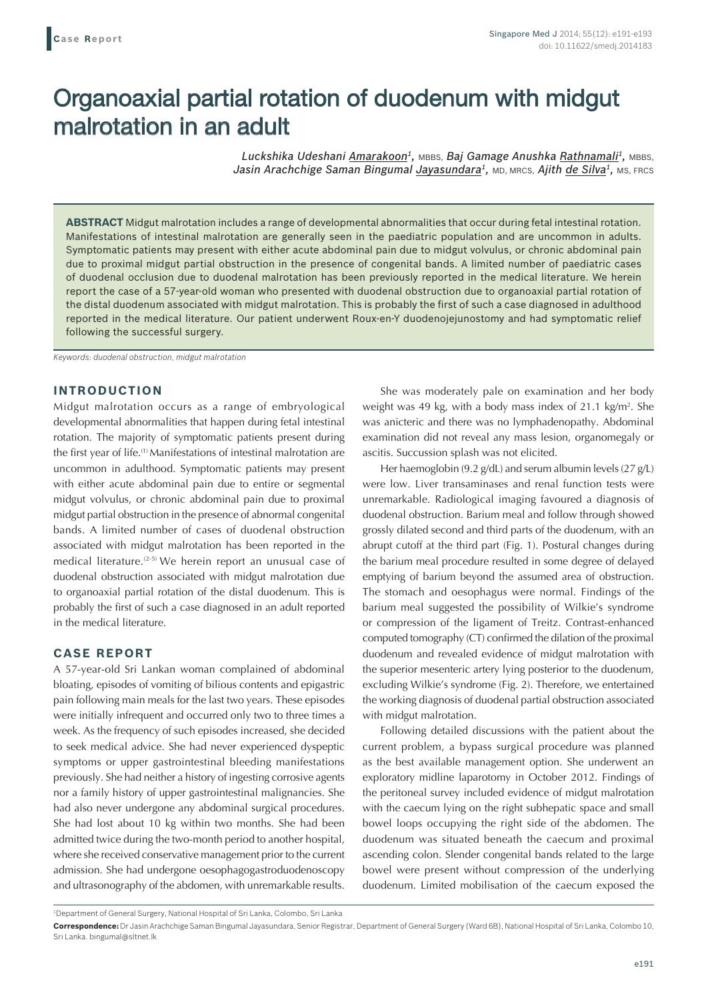# Organoaxial partial rotation of duodenum with midgut malrotation in an adult

*Luckshika Udeshani Amarakoon1,* MBBS, *Baj Gamage Anushka Rathnamali1,* MBBS, *Jasin Arachchige Saman Bingumal Jayasundara1,* MD, MRCS, *Ajith de Silva1,* MS, FRCS

**ABSTRACT** Midgut malrotation includes a range of developmental abnormalities that occur during fetal intestinal rotation. Manifestations of intestinal malrotation are generally seen in the paediatric population and are uncommon in adults. Symptomatic patients may present with either acute abdominal pain due to midgut volvulus, or chronic abdominal pain due to proximal midgut partial obstruction in the presence of congenital bands. A limited number of paediatric cases of duodenal occlusion due to duodenal malrotation has been previously reported in the medical literature. We herein report the case of a 57-year-old woman who presented with duodenal obstruction due to organoaxial partial rotation of the distal duodenum associated with midgut malrotation. This is probably the first of such a case diagnosed in adulthood reported in the medical literature. Our patient underwent Roux-en-Y duodenojejunostomy and had symptomatic relief following the successful surgery.

*Keywords: duodenal obstruction, midgut malrotation*

## **INTRODUCTION**

Midgut malrotation occurs as a range of embryological developmental abnormalities that happen during fetal intestinal rotation. The majority of symptomatic patients present during the first year of life.(1) Manifestations of intestinal malrotation are uncommon in adulthood. Symptomatic patients may present with either acute abdominal pain due to entire or segmental midgut volvulus, or chronic abdominal pain due to proximal midgut partial obstruction in the presence of abnormal congenital bands. A limited number of cases of duodenal obstruction associated with midgut malrotation has been reported in the medical literature.(2-5) We herein report an unusual case of duodenal obstruction associated with midgut malrotation due to organoaxial partial rotation of the distal duodenum. This is probably the first of such a case diagnosed in an adult reported in the medical literature.

### **CASE REPORT**

A 57-year-old Sri Lankan woman complained of abdominal bloating, episodes of vomiting of bilious contents and epigastric pain following main meals for the last two years. These episodes were initially infrequent and occurred only two to three times a week. As the frequency of such episodes increased, she decided to seek medical advice. She had never experienced dyspeptic symptoms or upper gastrointestinal bleeding manifestations previously. She had neither a history of ingesting corrosive agents nor a family history of upper gastrointestinal malignancies. She had also never undergone any abdominal surgical procedures. She had lost about 10 kg within two months. She had been admitted twice during the two-month period to another hospital, where she received conservative management prior to the current admission. She had undergone oesophagogastroduodenoscopy and ultrasonography of the abdomen, with unremarkable results.

She was moderately pale on examination and her body weight was 49 kg, with a body mass index of 21.1 kg/m<sup>2</sup>. She was anicteric and there was no lymphadenopathy. Abdominal examination did not reveal any mass lesion, organomegaly or ascitis. Succussion splash was not elicited.

Her haemoglobin (9.2 g/dL) and serum albumin levels (27 g/L) were low. Liver transaminases and renal function tests were unremarkable. Radiological imaging favoured a diagnosis of duodenal obstruction. Barium meal and follow through showed grossly dilated second and third parts of the duodenum, with an abrupt cutoff at the third part (Fig. 1). Postural changes during the barium meal procedure resulted in some degree of delayed emptying of barium beyond the assumed area of obstruction. The stomach and oesophagus were normal. Findings of the barium meal suggested the possibility of Wilkie's syndrome or compression of the ligament of Treitz. Contrast-enhanced computed tomography (CT) confirmed the dilation of the proximal duodenum and revealed evidence of midgut malrotation with the superior mesenteric artery lying posterior to the duodenum, excluding Wilkie's syndrome (Fig. 2). Therefore, we entertained the working diagnosis of duodenal partial obstruction associated with midgut malrotation.

Following detailed discussions with the patient about the current problem, a bypass surgical procedure was planned as the best available management option. She underwent an exploratory midline laparotomy in October 2012. Findings of the peritoneal survey included evidence of midgut malrotation with the caecum lying on the right subhepatic space and small bowel loops occupying the right side of the abdomen. The duodenum was situated beneath the caecum and proximal ascending colon. Slender congenital bands related to the large bowel were present without compression of the underlying duodenum. Limited mobilisation of the caecum exposed the

<sup>1</sup> Department of General Surgery, National Hospital of Sri Lanka, Colombo, Sri Lanka

**Correspondence:** Dr Jasin Arachchige Saman Bingumal Jayasundara, Senior Registrar, Department of General Surgery (Ward 6B), National Hospital of Sri Lanka, Colombo 10, Sri Lanka. bingumal@sltnet.lk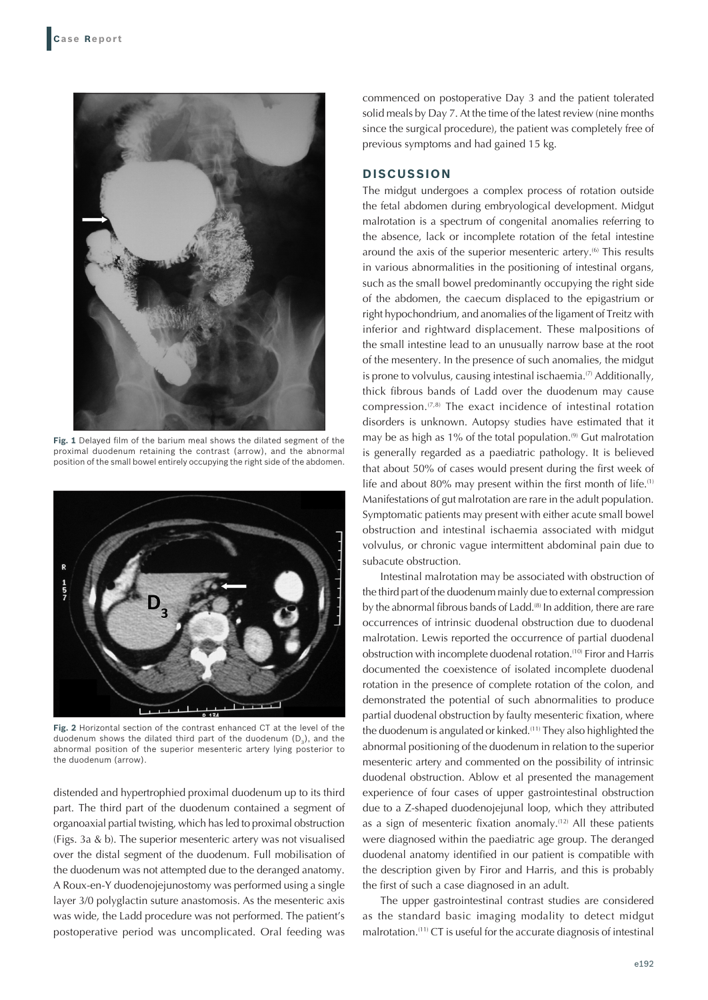

**Fig. 1** Delayed film of the barium meal shows the dilated segment of the proximal duodenum retaining the contrast (arrow), and the abnormal position of the small bowel entirely occupying the right side of the abdomen.



**Fig. 2** Horizontal section of the contrast enhanced CT at the level of the duodenum shows the dilated third part of the duodenum  $(D_3)$ , and the abnormal position of the superior mesenteric artery lying posterior to the duodenum (arrow).

distended and hypertrophied proximal duodenum up to its third part. The third part of the duodenum contained a segment of organoaxial partial twisting, which has led to proximal obstruction (Figs. 3a & b). The superior mesenteric artery was not visualised over the distal segment of the duodenum. Full mobilisation of the duodenum was not attempted due to the deranged anatomy. A Roux-en-Y duodenojejunostomy was performed using a single layer 3/0 polyglactin suture anastomosis. As the mesenteric axis was wide, the Ladd procedure was not performed. The patient's postoperative period was uncomplicated. Oral feeding was

commenced on postoperative Day 3 and the patient tolerated solid meals by Day 7. At the time of the latest review (nine months since the surgical procedure), the patient was completely free of previous symptoms and had gained 15 kg.

# **DISCUSSION**

The midgut undergoes a complex process of rotation outside the fetal abdomen during embryological development. Midgut malrotation is a spectrum of congenital anomalies referring to the absence, lack or incomplete rotation of the fetal intestine around the axis of the superior mesenteric artery.<sup>(6)</sup> This results in various abnormalities in the positioning of intestinal organs, such as the small bowel predominantly occupying the right side of the abdomen, the caecum displaced to the epigastrium or right hypochondrium, and anomalies of the ligament of Treitz with inferior and rightward displacement. These malpositions of the small intestine lead to an unusually narrow base at the root of the mesentery. In the presence of such anomalies, the midgut is prone to volvulus, causing intestinal ischaemia. $\sigma$  Additionally, thick fibrous bands of Ladd over the duodenum may cause compression.(7,8) The exact incidence of intestinal rotation disorders is unknown. Autopsy studies have estimated that it may be as high as 1% of the total population. $(9)$  Gut malrotation is generally regarded as a paediatric pathology. It is believed that about 50% of cases would present during the first week of life and about 80% may present within the first month of life.(1) Manifestations of gut malrotation are rare in the adult population. Symptomatic patients may present with either acute small bowel obstruction and intestinal ischaemia associated with midgut volvulus, or chronic vague intermittent abdominal pain due to subacute obstruction.

Intestinal malrotation may be associated with obstruction of the third part of the duodenum mainly due to external compression by the abnormal fibrous bands of Ladd.<sup>(8)</sup> In addition, there are rare occurrences of intrinsic duodenal obstruction due to duodenal malrotation. Lewis reported the occurrence of partial duodenal obstruction with incomplete duodenal rotation.(10) Firor and Harris documented the coexistence of isolated incomplete duodenal rotation in the presence of complete rotation of the colon, and demonstrated the potential of such abnormalities to produce partial duodenal obstruction by faulty mesenteric fixation, where the duodenum is angulated or kinked.<sup>(11)</sup> They also highlighted the abnormal positioning of the duodenum in relation to the superior mesenteric artery and commented on the possibility of intrinsic duodenal obstruction. Ablow et al presented the management experience of four cases of upper gastrointestinal obstruction due to a Z-shaped duodenojejunal loop, which they attributed as a sign of mesenteric fixation anomaly.(12) All these patients were diagnosed within the paediatric age group. The deranged duodenal anatomy identified in our patient is compatible with the description given by Firor and Harris, and this is probably the first of such a case diagnosed in an adult.

The upper gastrointestinal contrast studies are considered as the standard basic imaging modality to detect midgut malrotation.(11) CT is useful for the accurate diagnosis of intestinal